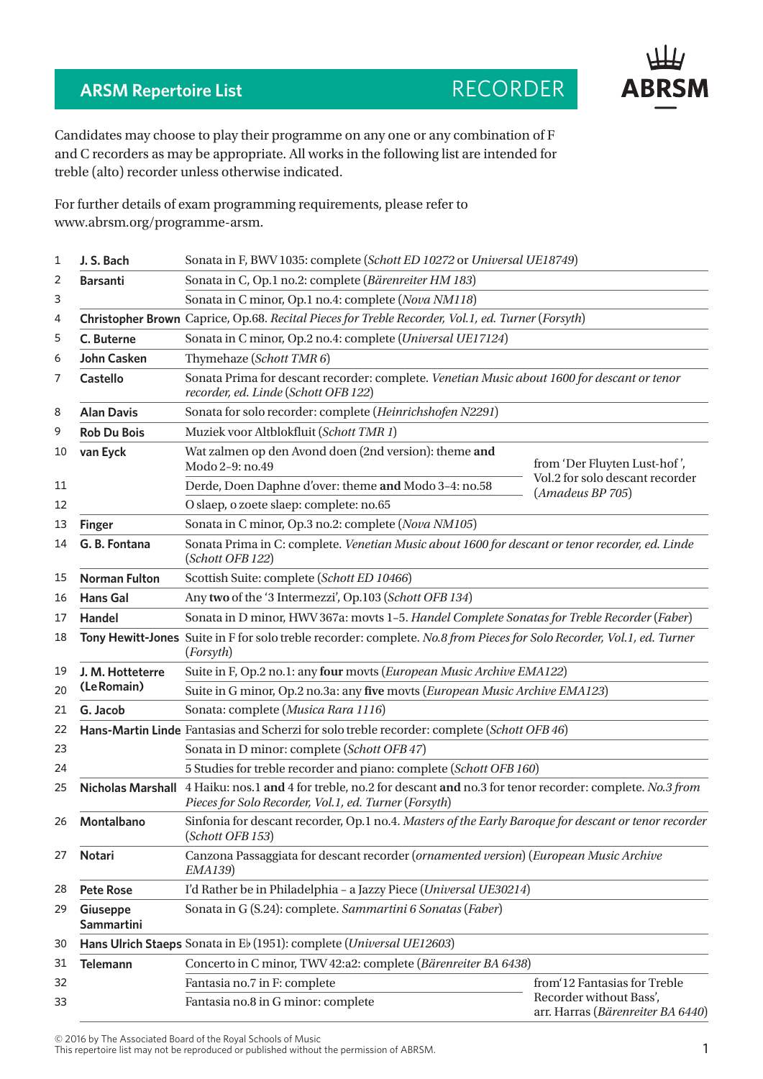## **ARSM Repertoire List RECORDER**

**ABRSM** 

Candidates may choose to play their programme on any one or any combination of F and C recorders as may be appropriate. All works in the following list are intended for treble (alto) recorder unless otherwise indicated.

For further details of exam programming requirements, please refer to www.abrsm.org/programme-arsm.

| 1  | J. S. Bach                                                                                        | Sonata in F, BWV 1035: complete (Schott ED 10272 or Universal UE18749)                                                                                                        |                                                              |  |
|----|---------------------------------------------------------------------------------------------------|-------------------------------------------------------------------------------------------------------------------------------------------------------------------------------|--------------------------------------------------------------|--|
| 2  | <b>Barsanti</b>                                                                                   | Sonata in C, Op.1 no.2: complete (Bärenreiter HM 183)                                                                                                                         |                                                              |  |
| 3  |                                                                                                   | Sonata in C minor, Op.1 no.4: complete (Nova NM118)                                                                                                                           |                                                              |  |
| 4  | Christopher Brown Caprice, Op.68. Recital Pieces for Treble Recorder, Vol.1, ed. Turner (Forsyth) |                                                                                                                                                                               |                                                              |  |
| 5  | C. Buterne                                                                                        | Sonata in C minor, Op.2 no.4: complete (Universal UE17124)                                                                                                                    |                                                              |  |
| 6  | <b>John Casken</b>                                                                                | Thymehaze (Schott TMR 6)                                                                                                                                                      |                                                              |  |
| 7  | <b>Castello</b>                                                                                   | Sonata Prima for descant recorder: complete. Venetian Music about 1600 for descant or tenor<br>recorder, ed. Linde (Schott OFB 122)                                           |                                                              |  |
| 8  | <b>Alan Davis</b>                                                                                 | Sonata for solo recorder: complete (Heinrichshofen N2291)                                                                                                                     |                                                              |  |
| 9  | <b>Rob Du Bois</b>                                                                                | Muziek voor Altblokfluit (Schott TMR 1)                                                                                                                                       |                                                              |  |
| 10 | van Eyck                                                                                          | Wat zalmen op den Avond doen (2nd version): theme and<br>Modo 2-9: no.49                                                                                                      | from 'Der Fluyten Lust-hof',                                 |  |
| 11 |                                                                                                   | Derde, Doen Daphne d'over: theme and Modo 3-4: no.58                                                                                                                          | Vol.2 for solo descant recorder<br>(Amadeus BP 705)          |  |
| 12 |                                                                                                   | O slaep, o zoete slaep: complete: no.65                                                                                                                                       |                                                              |  |
| 13 | <b>Finger</b>                                                                                     | Sonata in C minor, Op.3 no.2: complete (Nova NM105)                                                                                                                           |                                                              |  |
| 14 | G. B. Fontana                                                                                     | Sonata Prima in C: complete. Venetian Music about 1600 for descant or tenor recorder, ed. Linde<br>(Schott OFB 122)                                                           |                                                              |  |
| 15 | <b>Norman Fulton</b>                                                                              | Scottish Suite: complete (Schott ED 10466)                                                                                                                                    |                                                              |  |
| 16 | <b>Hans Gal</b>                                                                                   | Any two of the '3 Intermezzi', Op.103 (Schott OFB 134)                                                                                                                        |                                                              |  |
| 17 | Handel                                                                                            | Sonata in D minor, HWV 367a: movts 1-5. Handel Complete Sonatas for Treble Recorder (Faber)                                                                                   |                                                              |  |
| 18 |                                                                                                   | Tony Hewitt-Jones Suite in F for solo treble recorder: complete. No.8 from Pieces for Solo Recorder, Vol.1, ed. Turner<br>(Forsyth)                                           |                                                              |  |
| 19 | J. M. Hotteterre<br>(Le Romain)                                                                   | Suite in F, Op.2 no.1: any four movts (European Music Archive EMA122)                                                                                                         |                                                              |  |
| 20 |                                                                                                   | Suite in G minor, Op.2 no.3a: any five movts (European Music Archive EMA123)                                                                                                  |                                                              |  |
| 21 | G. Jacob                                                                                          | Sonata: complete (Musica Rara 1116)                                                                                                                                           |                                                              |  |
| 22 |                                                                                                   | Hans-Martin Linde Fantasias and Scherzi for solo treble recorder: complete (Schott OFB 46)                                                                                    |                                                              |  |
| 23 |                                                                                                   | Sonata in D minor: complete (Schott OFB 47)                                                                                                                                   |                                                              |  |
| 24 |                                                                                                   | 5 Studies for treble recorder and piano: complete (Schott OFB 160)                                                                                                            |                                                              |  |
| 25 |                                                                                                   | Nicholas Marshall 4 Haiku: nos.1 and 4 for treble, no.2 for descant and no.3 for tenor recorder: complete. No.3 from<br>Pieces for Solo Recorder, Vol.1, ed. Turner (Forsyth) |                                                              |  |
|    | 26 Montalbano                                                                                     | Sinfonia for descant recorder, Op.1 no.4. Masters of the Early Baroque for descant or tenor recorder<br>(Schott OFB 153)                                                      |                                                              |  |
| 27 | Notari                                                                                            | Canzona Passaggiata for descant recorder (ornamented version) (European Music Archive<br><i>EMA139</i> )                                                                      |                                                              |  |
| 28 | <b>Pete Rose</b>                                                                                  | I'd Rather be in Philadelphia - a Jazzy Piece (Universal UE30214)                                                                                                             |                                                              |  |
| 29 | Giuseppe<br><b>Sammartini</b>                                                                     | Sonata in G (S.24): complete. Sammartini 6 Sonatas (Faber)                                                                                                                    |                                                              |  |
| 30 |                                                                                                   | Hans Ulrich Staeps Sonata in Eb (1951): complete (Universal UE12603)                                                                                                          |                                                              |  |
| 31 | <b>Telemann</b>                                                                                   | Concerto in C minor, TWV 42:a2: complete (Bärenreiter BA 6438)                                                                                                                |                                                              |  |
| 32 |                                                                                                   | Fantasia no.7 in F: complete                                                                                                                                                  | from 12 Fantasias for Treble                                 |  |
| 33 |                                                                                                   | Fantasia no.8 in G minor: complete                                                                                                                                            | Recorder without Bass',<br>arr. Harras (Bärenreiter BA 6440) |  |

© 2016 by The Associated Board of the Royal Schools of Music

This repertoire list may not be reproduced or published without the permission of ABRSM.